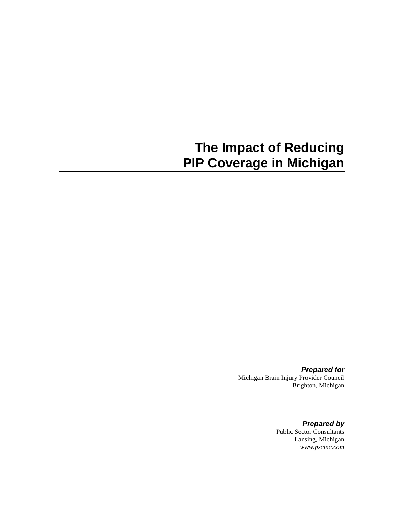# **The Impact of Reducing PIP Coverage in Michigan**

*Prepared for* Michigan Brain Injury Provider Council Brighton, Michigan

> *Prepared by* Public Sector Consultants Lansing, Michigan *www.pscinc.com*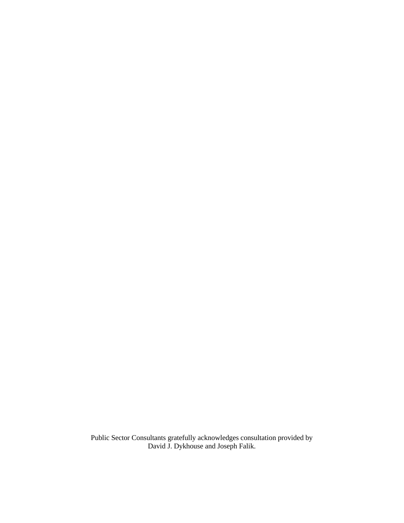Public Sector Consultants gratefully acknowledges consultation provided by David J. Dykhouse and Joseph Falik.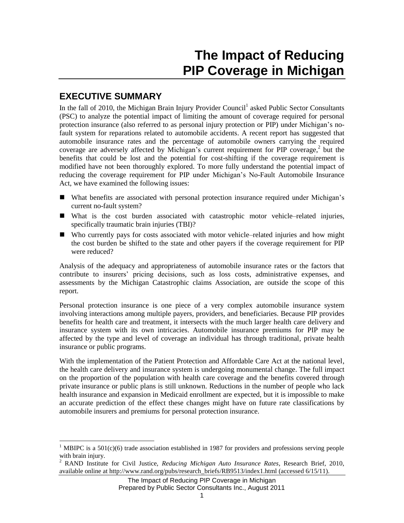# **The Impact of Reducing PIP Coverage in Michigan**

### **EXECUTIVE SUMMARY**

l

In the fall of 2010, the Michigan Brain Injury Provider Council<sup>1</sup> asked Public Sector Consultants (PSC) to analyze the potential impact of limiting the amount of coverage required for personal protection insurance (also referred to as personal injury protection or PIP) under Michigan's nofault system for reparations related to automobile accidents. A recent report has suggested that automobile insurance rates and the percentage of automobile owners carrying the required coverage are adversely affected by Michigan's current requirement for PIP coverage,<sup>2</sup> but the benefits that could be lost and the potential for cost-shifting if the coverage requirement is modified have not been thoroughly explored. To more fully understand the potential impact of reducing the coverage requirement for PIP under Michigan's No-Fault Automobile Insurance Act, we have examined the following issues:

- What benefits are associated with personal protection insurance required under Michigan's current no-fault system?
- What is the cost burden associated with catastrophic motor vehicle–related injuries, specifically traumatic brain injuries (TBI)?
- Who currently pays for costs associated with motor vehicle–related injuries and how might the cost burden be shifted to the state and other payers if the coverage requirement for PIP were reduced?

Analysis of the adequacy and appropriateness of automobile insurance rates or the factors that contribute to insurers' pricing decisions, such as loss costs, administrative expenses, and assessments by the Michigan Catastrophic claims Association, are outside the scope of this report.

Personal protection insurance is one piece of a very complex automobile insurance system involving interactions among multiple payers, providers, and beneficiaries. Because PIP provides benefits for health care and treatment, it intersects with the much larger health care delivery and insurance system with its own intricacies. Automobile insurance premiums for PIP may be affected by the type and level of coverage an individual has through traditional, private health insurance or public programs.

With the implementation of the Patient Protection and Affordable Care Act at the national level, the health care delivery and insurance system is undergoing monumental change. The full impact on the proportion of the population with health care coverage and the benefits covered through private insurance or public plans is still unknown. Reductions in the number of people who lack health insurance and expansion in Medicaid enrollment are expected, but it is impossible to make an accurate prediction of the effect these changes might have on future rate classifications by automobile insurers and premiums for personal protection insurance.

<sup>&</sup>lt;sup>1</sup> MBIPC is a 501(c)(6) trade association established in 1987 for providers and professions serving people with brain injury.

<sup>2</sup> RAND Institute for Civil Justice, *Reducing Michigan Auto Insurance Rates*, Research Brief, 2010, available online at http://www.rand.org/pubs/research\_briefs/RB9513/index1.html (accessed 6/15/11).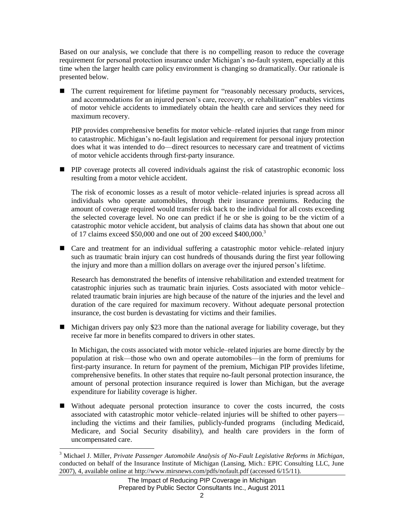Based on our analysis, we conclude that there is no compelling reason to reduce the coverage requirement for personal protection insurance under Michigan's no-fault system, especially at this time when the larger health care policy environment is changing so dramatically. Our rationale is presented below.

 $\blacksquare$  The current requirement for lifetime payment for "reasonably necessary products, services, and accommodations for an injured person's care, recovery, or rehabilitation" enables victims of motor vehicle accidents to immediately obtain the health care and services they need for maximum recovery.

PIP provides comprehensive benefits for motor vehicle–related injuries that range from minor to catastrophic. Michigan's no-fault legislation and requirement for personal injury protection does what it was intended to do—direct resources to necessary care and treatment of victims of motor vehicle accidents through first-party insurance.

**PIP** coverage protects all covered individuals against the risk of catastrophic economic loss resulting from a motor vehicle accident.

The risk of economic losses as a result of motor vehicle–related injuries is spread across all individuals who operate automobiles, through their insurance premiums. Reducing the amount of coverage required would transfer risk back to the individual for all costs exceeding the selected coverage level. No one can predict if he or she is going to be the victim of a catastrophic motor vehicle accident, but analysis of claims data has shown that about one out of 17 claims exceed \$50,000 and one out of 200 exceed \$400,000.<sup>3</sup>

■ Care and treatment for an individual suffering a catastrophic motor vehicle–related injury such as traumatic brain injury can cost hundreds of thousands during the first year following the injury and more than a million dollars on average over the injured person's lifetime.

Research has demonstrated the benefits of intensive rehabilitation and extended treatment for catastrophic injuries such as traumatic brain injuries. Costs associated with motor vehicle– related traumatic brain injuries are high because of the nature of the injuries and the level and duration of the care required for maximum recovery. Without adequate personal protection insurance, the cost burden is devastating for victims and their families.

 $\blacksquare$  Michigan drivers pay only \$23 more than the national average for liability coverage, but they receive far more in benefits compared to drivers in other states.

In Michigan, the costs associated with motor vehicle–related injuries are borne directly by the population at risk—those who own and operate automobiles—in the form of premiums for first-party insurance. In return for payment of the premium, Michigan PIP provides lifetime, comprehensive benefits. In other states that require no-fault personal protection insurance, the amount of personal protection insurance required is lower than Michigan, but the average expenditure for liability coverage is higher.

 Without adequate personal protection insurance to cover the costs incurred, the costs associated with catastrophic motor vehicle–related injuries will be shifted to other payers including the victims and their families, publicly-funded programs (including Medicaid, Medicare, and Social Security disability), and health care providers in the form of uncompensated care.

 $\overline{\phantom{a}}$ 

<sup>3</sup> Michael J. Miller, *Private Passenger Automobile Analysis of No-Fault Legislative Reforms in Michigan,*  conducted on behalf of the Insurance Institute of Michigan (Lansing, Mich.: EPIC Consulting LLC, June 2007), 4, available online at http://www.mirsnews.com/pdfs/nofault.pdf (accessed 6/15/11).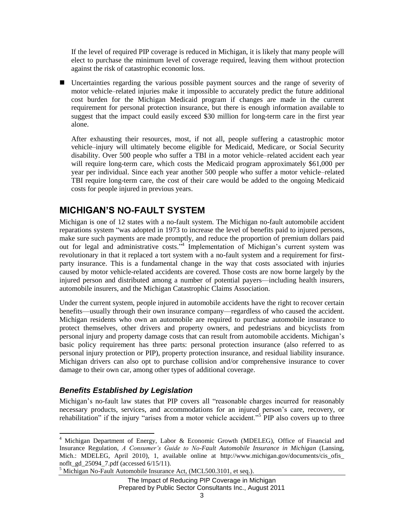If the level of required PIP coverage is reduced in Michigan, it is likely that many people will elect to purchase the minimum level of coverage required, leaving them without protection against the risk of catastrophic economic loss.

 Uncertainties regarding the various possible payment sources and the range of severity of motor vehicle–related injuries make it impossible to accurately predict the future additional cost burden for the Michigan Medicaid program if changes are made in the current requirement for personal protection insurance, but there is enough information available to suggest that the impact could easily exceed \$30 million for long-term care in the first year alone.

After exhausting their resources, most, if not all, people suffering a catastrophic motor vehicle–injury will ultimately become eligible for Medicaid, Medicare, or Social Security disability. Over 500 people who suffer a TBI in a motor vehicle–related accident each year will require long-term care, which costs the Medicaid program approximately \$61,000 per year per individual. Since each year another 500 people who suffer a motor vehicle–related TBI require long-term care, the cost of their care would be added to the ongoing Medicaid costs for people injured in previous years.

## **MICHIGAN'S NO-FAULT SYSTEM**

Michigan is one of 12 states with a no-fault system. The Michigan no-fault automobile accident reparations system "was adopted in 1973 to increase the level of benefits paid to injured persons, make sure such payments are made promptly, and reduce the proportion of premium dollars paid out for legal and administrative costs.<sup>34</sup> Implementation of Michigan's current system was revolutionary in that it replaced a tort system with a no-fault system and a requirement for firstparty insurance. This is a fundamental change in the way that costs associated with injuries caused by motor vehicle-related accidents are covered. Those costs are now borne largely by the injured person and distributed among a number of potential payers—including health insurers, automobile insurers, and the Michigan Catastrophic Claims Association.

Under the current system, people injured in automobile accidents have the right to recover certain benefits—usually through their own insurance company—regardless of who caused the accident. Michigan residents who own an automobile are required to purchase automobile insurance to protect themselves, other drivers and property owners, and pedestrians and bicyclists from personal injury and property damage costs that can result from automobile accidents. Michigan's basic policy requirement has three parts: personal protection insurance (also referred to as personal injury protection or PIP), property protection insurance, and residual liability insurance. Michigan drivers can also opt to purchase collision and/or comprehensive insurance to cover damage to their own car, among other types of additional coverage.

#### *Benefits Established by Legislation*

l

Michigan's no-fault law states that PIP covers all "reasonable charges incurred for reasonably necessary products, services, and accommodations for an injured person's care, recovery, or rehabilitation" if the injury "arises from a motor vehicle accident."<sup>5</sup> PIP also covers up to three

<sup>4</sup> Michigan Department of Energy, Labor & Economic Growth (MDELEG), Office of Financial and Insurance Regulation, *A Consumer's Guide to No-Fault Automobile Insurance in Michigan* (Lansing, Mich.: MDELEG, April 2010), 1, available online at http://www.michigan.gov/documents/cis\_ofis\_ noflt\_gd\_25094\_7.pdf (accessed 6/15/11).

<sup>&</sup>lt;sup>5</sup> Michigan No-Fault Automobile Insurance Act, (MCL500.3101, et seq.).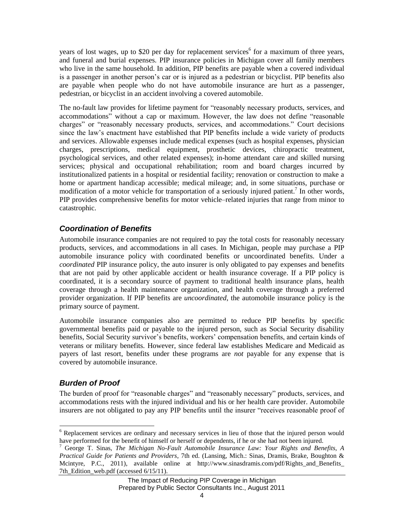years of lost wages, up to \$20 per day for replacement services<sup>6</sup> for a maximum of three years, and funeral and burial expenses. PIP insurance policies in Michigan cover all family members who live in the same household. In addition, PIP benefits are payable when a covered individual is a passenger in another person's car or is injured as a pedestrian or bicyclist. PIP benefits also are payable when people who do not have automobile insurance are hurt as a passenger, pedestrian, or bicyclist in an accident involving a covered automobile.

The no-fault law provides for lifetime payment for "reasonably necessary products, services, and accommodations" without a cap or maximum. However, the law does not define "reasonable charges" or "reasonably necessary products, services, and accommodations." Court decisions since the law's enactment have established that PIP benefits include a wide variety of products and services. Allowable expenses include medical expenses (such as hospital expenses, physician charges, prescriptions, medical equipment, prosthetic devices, chiropractic treatment, psychological services, and other related expenses); in-home attendant care and skilled nursing services; physical and occupational rehabilitation; room and board charges incurred by institutionalized patients in a hospital or residential facility; renovation or construction to make a home or apartment handicap accessible; medical mileage; and, in some situations, purchase or modification of a motor vehicle for transportation of a seriously injured patient.<sup>7</sup> In other words, PIP provides comprehensive benefits for motor vehicle–related injuries that range from minor to catastrophic.

#### *Coordination of Benefits*

Automobile insurance companies are not required to pay the total costs for reasonably necessary products, services, and accommodations in all cases. In Michigan, people may purchase a PIP automobile insurance policy with coordinated benefits or uncoordinated benefits. Under a *coordinated* PIP insurance policy, the auto insurer is only obligated to pay expenses and benefits that are not paid by other applicable accident or health insurance coverage. If a PIP policy is coordinated, it is a secondary source of payment to traditional health insurance plans, health coverage through a health maintenance organization, and health coverage through a preferred provider organization. If PIP benefits are *uncoordinated*, the automobile insurance policy is the primary source of payment.

Automobile insurance companies also are permitted to reduce PIP benefits by specific governmental benefits paid or payable to the injured person, such as Social Security disability benefits, Social Security survivor's benefits, workers' compensation benefits, and certain kinds of veterans or military benefits. However, since federal law establishes Medicare and Medicaid as payers of last resort, benefits under these programs are *not* payable for any expense that is covered by automobile insurance.

#### *Burden of Proof*

 $\overline{a}$ 

The burden of proof for "reasonable charges" and "reasonably necessary" products, services, and accommodations rests with the injured individual and his or her health care provider. Automobile insurers are not obligated to pay any PIP benefits until the insurer "receives reasonable proof of

<sup>&</sup>lt;sup>6</sup> Replacement services are ordinary and necessary services in lieu of those that the injured person would have performed for the benefit of himself or herself or dependents, if he or she had not been injured.

<sup>7</sup> George T. Sinas, *The Michigan No-Fault Automobile Insurance Law: Your Rights and Benefits, A Practical Guide for Patients and Providers*, 7th ed. (Lansing, Mich.: Sinas, Dramis, Brake, Boughton & Mcintyre, P.C., 2011), available online at http://www.sinasdramis.com/pdf/Rights and Benefits 7th Edition web.pdf (accessed 6/15/11).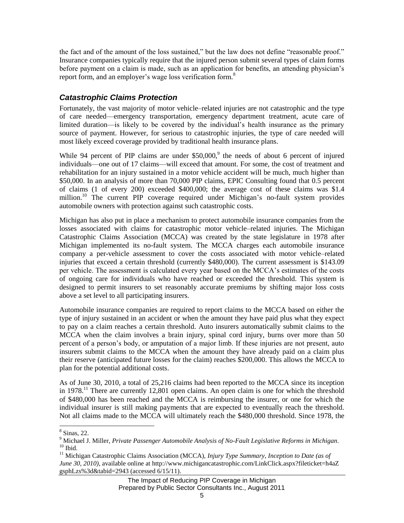the fact and of the amount of the loss sustained," but the law does not define "reasonable proof." Insurance companies typically require that the injured person submit several types of claim forms before payment on a claim is made, such as an application for benefits, an attending physician's report form, and an employer's wage loss verification form.<sup>8</sup>

#### *Catastrophic Claims Protection*

Fortunately, the vast majority of motor vehicle–related injuries are not catastrophic and the type of care needed—emergency transportation, emergency department treatment, acute care of limited duration—is likely to be covered by the individual's health insurance as the primary source of payment. However, for serious to catastrophic injuries, the type of care needed will most likely exceed coverage provided by traditional health insurance plans.

While 94 percent of PIP claims are under  $$50,000$ ,<sup>9</sup> the needs of about 6 percent of injured individuals—one out of 17 claims—will exceed that amount. For some, the cost of treatment and rehabilitation for an injury sustained in a motor vehicle accident will be much, much higher than \$50,000. In an analysis of more than 70,000 PIP claims, EPIC Consulting found that 0.5 percent of claims (1 of every 200) exceeded \$400,000; the average cost of these claims was \$1.4 million.<sup>10</sup> The current PIP coverage required under Michigan's no-fault system provides automobile owners with protection against such catastrophic costs.

Michigan has also put in place a mechanism to protect automobile insurance companies from the losses associated with claims for catastrophic motor vehicle–related injuries. The Michigan Catastrophic Claims Association (MCCA) was created by the state legislature in 1978 after Michigan implemented its no-fault system. The MCCA charges each automobile insurance company a per-vehicle assessment to cover the costs associated with motor vehicle–related injuries that exceed a certain threshold (currently \$480,000). The current assessment is \$143.09 per vehicle. The assessment is calculated every year based on the MCCA's estimates of the costs of ongoing care for individuals who have reached or exceeded the threshold. This system is designed to permit insurers to set reasonably accurate premiums by shifting major loss costs above a set level to all participating insurers.

Automobile insurance companies are required to report claims to the MCCA based on either the type of injury sustained in an accident or when the amount they have paid plus what they expect to pay on a claim reaches a certain threshold. Auto insurers automatically submit claims to the MCCA when the claim involves a brain injury, spinal cord injury, burns over more than 50 percent of a person's body, or amputation of a major limb. If these injuries are not present, auto insurers submit claims to the MCCA when the amount they have already paid on a claim plus their reserve (anticipated future losses for the claim) reaches \$200,000. This allows the MCCA to plan for the potential additional costs.

As of June 30, 2010, a total of 25,216 claims had been reported to the MCCA since its inception in  $1978<sup>11</sup>$  There are currently 12,801 open claims. An open claim is one for which the threshold of \$480,000 has been reached and the MCCA is reimbursing the insurer, or one for which the individual insurer is still making payments that are expected to eventually reach the threshold. Not all claims made to the MCCA will ultimately reach the \$480,000 threshold. Since 1978, the

 $\overline{a}$ 

The Impact of Reducing PIP Coverage in Michigan Prepared by Public Sector Consultants Inc., August 2011

<sup>8</sup> Sinas, 22.

<sup>9</sup> Michael J. Miller, *Private Passenger Automobile Analysis of No-Fault Legislative Reforms in Michigan.*  $10$  Ibid.

<sup>11</sup> Michigan Catastrophic Claims Association (MCCA), *Injury Type Summary*, *Inception to Date (as of June 30, 2010)*, available online at http://www.michigancatastrophic.com/LinkClick.aspx?fileticket=h4aZ gsphLzs%3d&tabid=2943 (accessed 6/15/11).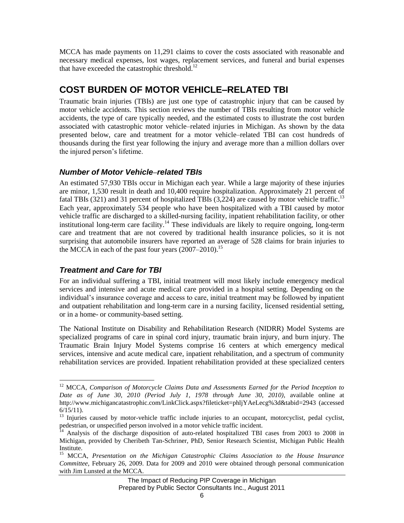MCCA has made payments on 11,291 claims to cover the costs associated with reasonable and necessary medical expenses, lost wages, replacement services, and funeral and burial expenses that have exceeded the catastrophic threshold.<sup>12</sup>

## **COST BURDEN OF MOTOR VEHICLE–RELATED TBI**

Traumatic brain injuries (TBIs) are just one type of catastrophic injury that can be caused by motor vehicle accidents. This section reviews the number of TBIs resulting from motor vehicle accidents, the type of care typically needed, and the estimated costs to illustrate the cost burden associated with catastrophic motor vehicle–related injuries in Michigan. As shown by the data presented below, care and treatment for a motor vehicle–related TBI can cost hundreds of thousands during the first year following the injury and average more than a million dollars over the injured person's lifetime.

#### *Number of Motor Vehicle–related TBIs*

An estimated 57,930 TBIs occur in Michigan each year. While a large majority of these injuries are minor, 1,530 result in death and 10,400 require hospitalization. Approximately 21 percent of fatal TBIs (321) and 31 percent of hospitalized TBIs (3,224) are caused by motor vehicle traffic.<sup>13</sup> Each year, approximately 534 people who have been hospitalized with a TBI caused by motor vehicle traffic are discharged to a skilled-nursing facility, inpatient rehabilitation facility, or other institutional long-term care facility.<sup>14</sup> These individuals are likely to require ongoing, long-term care and treatment that are not covered by traditional health insurance policies, so it is not surprising that automobile insurers have reported an average of 528 claims for brain injuries to the MCCA in each of the past four years  $(2007-2010).$ <sup>15</sup>

#### *Treatment and Care for TBI*

 $\overline{a}$ 

For an individual suffering a TBI, initial treatment will most likely include emergency medical services and intensive and acute medical care provided in a hospital setting. Depending on the individual's insurance coverage and access to care, initial treatment may be followed by inpatient and outpatient rehabilitation and long-term care in a nursing facility, licensed residential setting, or in a home- or community-based setting.

The National Institute on Disability and Rehabilitation Research (NIDRR) Model Systems are specialized programs of care in spinal cord injury, traumatic brain injury, and burn injury. The Traumatic Brain Injury Model Systems comprise 16 centers at which emergency medical services, intensive and acute medical care, inpatient rehabilitation, and a spectrum of community rehabilitation services are provided. Inpatient rehabilitation provided at these specialized centers

<sup>&</sup>lt;sup>12</sup> MCCA, *Comparison of Motorcycle Claims Data and Assessments Earned for the Period Inception to Date as of June 30, 2010 (Period July 1, 1978 through June 30, 2010)*, available online at http://www.michigancatastrophic.com/LinkClick.aspx?fileticket=phljYAeLecg%3d&tabid=2943 (accessed 6/15/11).

 $13$  Injuries caused by motor-vehicle traffic include injuries to an occupant, motorcyclist, pedal cyclist, pedestrian, or unspecified person involved in a motor vehicle traffic incident.

<sup>&</sup>lt;sup>14</sup> Analysis of the discharge disposition of auto-related hospitalized TBI cases from 2003 to 2008 in Michigan, provided by Cheribeth Tan-Schriner, PhD, Senior Research Scientist, Michigan Public Health Institute.

<sup>15</sup> MCCA, *Presentation on the Michigan Catastrophic Claims Association to the House Insurance Committee*, February 26, 2009. Data for 2009 and 2010 were obtained through personal communication with Jim Lunsted at the MCCA.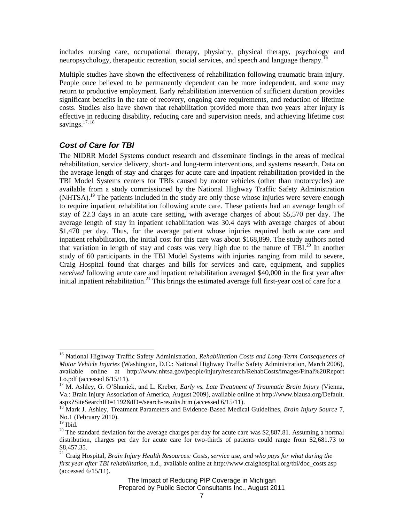includes nursing care, occupational therapy, physiatry, physical therapy, psychology and neuropsychology, therapeutic recreation, social services, and speech and language therapy.<sup>1</sup>

Multiple studies have shown the effectiveness of rehabilitation following traumatic brain injury. People once believed to be permanently dependent can be more independent, and some may return to productive employment. Early rehabilitation intervention of sufficient duration provides significant benefits in the rate of recovery, ongoing care requirements, and reduction of lifetime costs. Studies also have shown that rehabilitation provided more than two years after injury is effective in reducing disability, reducing care and supervision needs, and achieving lifetime cost savings.<sup>17, 18</sup>

#### *Cost of Care for TBI*

The NIDRR Model Systems conduct research and disseminate findings in the areas of medical rehabilitation, service delivery, short- and long-term interventions, and systems research. Data on the average length of stay and charges for acute care and inpatient rehabilitation provided in the TBI Model Systems centers for TBIs caused by motor vehicles (other than motorcycles) are available from a study commissioned by the National Highway Traffic Safety Administration (NHTSA).<sup>19</sup> The patients included in the study are only those whose injuries were severe enough to require inpatient rehabilitation following acute care. These patients had an average length of stay of 22.3 days in an acute care setting, with average charges of about \$5,570 per day. The average length of stay in inpatient rehabilitation was 30.4 days with average charges of about \$1,470 per day. Thus, for the average patient whose injuries required both acute care and inpatient rehabilitation, the initial cost for this care was about \$168,899. The study authors noted that variation in length of stay and costs was very high due to the nature of TBI.<sup>20</sup> In another study of 60 participants in the TBI Model Systems with injuries ranging from mild to severe, Craig Hospital found that charges and bills for services and care, equipment, and supplies *received* following acute care and inpatient rehabilitation averaged \$40,000 in the first year after initial inpatient rehabilitation.<sup>21</sup> This brings the estimated average full first-year cost of care for a

 $\overline{\phantom{a}}$ 

<sup>16</sup> National Highway Traffic Safety Administration, *Rehabilitation Costs and Long-Term Consequences of Motor Vehicle Injuries* (Washington, D.C.: National Highway Traffic Safety Administration, March 2006), available online at http://www.nhtsa.gov/people/injury/research/RehabCosts/images/Final%20Report Lo.pdf (accessed 6/15/11).

<sup>17</sup> M. Ashley, G. O'Shanick, and L. Kreber, *Early vs. Late Treatment of Traumatic Brain Injury* (Vienna, Va.: Brain Injury Association of America, August 2009), available online at http://www.biausa.org/Default. aspx?SiteSearchID=1192&ID=/search-results.htm (accessed 6/15/11).

<sup>18</sup> Mark J. Ashley, Treatment Parameters and Evidence-Based Medical Guidelines, *Brain Injury Source* 7, No.1 (February 2010).

 $19$  Ibid.

 $20$  The standard deviation for the average charges per day for acute care was \$2,887.81. Assuming a normal distribution, charges per day for acute care for two-thirds of patients could range from \$2,681.73 to \$8,457.35.

<sup>21</sup> Craig Hospital, *Brain Injury Health Resources: Costs, service use, and who pays for what during the first year after TBI rehabilitation*, n.d., available online at http://www.craighospital.org/tbi/doc\_costs.asp (accessed 6/15/11).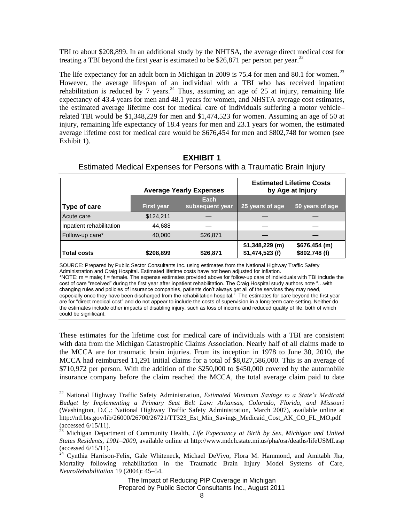TBI to about \$208,899. In an additional study by the NHTSA, the average direct medical cost for treating a TBI beyond the first year is estimated to be \$26,871 per person per year.<sup>22</sup>

The life expectancy for an adult born in Michigan in 2009 is 75.4 for men and 80.1 for women.<sup>23</sup> However, the average lifespan of an individual with a TBI who has received inpatient rehabilitation is reduced by  $\frac{7}{2}$  years.<sup>24</sup> Thus, assuming an age of 25 at injury, remaining life expectancy of 43.4 years for men and 48.1 years for women, and NHSTA average cost estimates, the estimated average lifetime cost for medical care of individuals suffering a motor vehicle– related TBI would be \$1,348,229 for men and \$1,474,523 for women. Assuming an age of 50 at injury, remaining life expectancy of 18.4 years for men and 23.1 years for women, the estimated average lifetime cost for medical care would be \$676,454 for men and \$802,748 for women (see Exhibit 1).

| Estimated Medical Expenses for Persons with a Traumatic Brain Injury |                                 |  |  |  |
|----------------------------------------------------------------------|---------------------------------|--|--|--|
|                                                                      |                                 |  |  |  |
|                                                                      | <b>Estimated Lifetime Costs</b> |  |  |  |

**Each** 

**by Age at Injury** 

**\$676,454 (m)**

**subsequent year 25 years of age 50 years of age**

**\$1,348,229 (m)**

**Average Yearly Expenses**

Acute care \$124,211 — | — —

**First year**

Follow-up care\*  $40,000$  \$26,871

**Type of care**

l

Inpatient rehabilitation 44,688

| <b>EXHIBIT 1</b>                                                     |  |
|----------------------------------------------------------------------|--|
| Estimated Medical Expenses for Persons with a Traumatic Brain Injury |  |

| SOURCE: Prepared by Public Sector Consultants Inc. using estimates from the National Highway Traffic Safety<br>Administration and Craig Hospital. Estimated lifetime costs have not been adjusted for inflation.                                                                                                                                                            |                                                                                                                                                                                                                                                                                                                                                                                      |
|-----------------------------------------------------------------------------------------------------------------------------------------------------------------------------------------------------------------------------------------------------------------------------------------------------------------------------------------------------------------------------|--------------------------------------------------------------------------------------------------------------------------------------------------------------------------------------------------------------------------------------------------------------------------------------------------------------------------------------------------------------------------------------|
| cost of care "received" during the first year after inpatient rehabilitation. The Craig Hospital study authors note "with<br>changing rules and policies of insurance companies, patients don't always get all of the services they may need,<br>the estimates include other impacts of disabling injury, such as loss of income and reduced quality of life, both of which | *NOTE: m = male; f = female. The expense estimates provided above for follow-up care of individuals with TBI include the<br>especially once they have been discharged from the rehabilitation hospital." The estimates for care beyond the first year<br>are for "direct medical cost" and do not appear to include the costs of supervision in a long-term care setting. Neither do |
|                                                                                                                                                                                                                                                                                                                                                                             |                                                                                                                                                                                                                                                                                                                                                                                      |

These estimates for the lifetime cost for medical care of individuals with a TBI are consistent with data from the Michigan Catastrophic Claims Association. Nearly half of all claims made to the MCCA are for traumatic brain injuries. From its inception in 1978 to June 30, 2010, the MCCA had reimbursed 11,291 initial claims for a total of \$8,027,586,000. This is an average of \$710,972 per person. With the addition of the \$250,000 to \$450,000 covered by the automobile insurance company before the claim reached the MCCA, the total average claim paid to date

<sup>22</sup> National Highway Traffic Safety Administration, *Estimated Minimum Savings to a State's Medicaid Budget by Implementing a Primary Seat Belt Law: Arkansas, Colorado, Florida, and Missouri* (Washington, D.C.: National Highway Traffic Safety Administration, March 2007), available online at http://ntl.bts.gov/lib/26000/26700/26721/TT323\_Est\_Min\_Savings\_Medicaid\_Cost\_AK\_CO\_FL\_MO.pdf (accessed 6/15/11).

<sup>23</sup> Michigan Department of Community Health, *Life Expectancy at Birth by Sex, Michigan and United States Residents, 1901–2009*, available online at http://www.mdch.state.mi.us/pha/osr/deaths/lifeUSMI.asp (accessed 6/15/11).

 $^{24}$  Cynthia Harrison-Felix, Gale Whiteneck, Michael DeVivo, Flora M. Hammond, and Amitabh Jha, Mortality following rehabilitation in the Traumatic Brain Injury Model Systems of Care, *NeuroRehabilitation* 19 (2004): 45–54.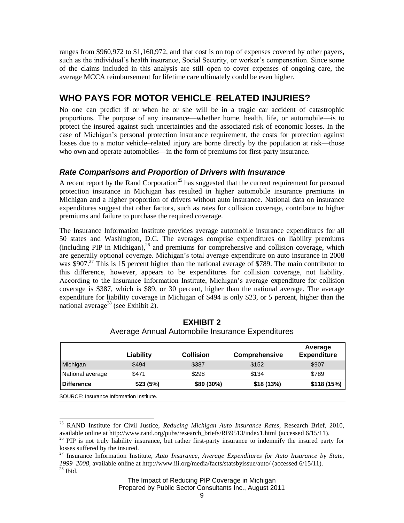ranges from \$960,972 to \$1,160,972, and that cost is on top of expenses covered by other payers, such as the individual's health insurance, Social Security, or worker's compensation. Since some of the claims included in this analysis are still open to cover expenses of ongoing care, the average MCCA reimbursement for lifetime care ultimately could be even higher.

### **WHO PAYS FOR MOTOR VEHICLE–RELATED INJURIES?**

No one can predict if or when he or she will be in a tragic car accident of catastrophic proportions. The purpose of any insurance—whether home, health, life, or automobile—is to protect the insured against such uncertainties and the associated risk of economic losses. In the case of Michigan's personal protection insurance requirement, the costs for protection against losses due to a motor vehicle–related injury are borne directly by the population at risk—those who own and operate automobiles—in the form of premiums for first-party insurance.

#### *Rate Comparisons and Proportion of Drivers with Insurance*

A recent report by the Rand Corporation<sup>25</sup> has suggested that the current requirement for personal protection insurance in Michigan has resulted in higher automobile insurance premiums in Michigan and a higher proportion of drivers without auto insurance. National data on insurance expenditures suggest that other factors, such as rates for collision coverage, contribute to higher premiums and failure to purchase the required coverage.

The Insurance Information Institute provides average automobile insurance expenditures for all 50 states and Washington, D.C. The averages comprise expenditures on liability premiums (including PIP in Michigan), <sup>26</sup> and premiums for comprehensive and collision coverage, which are generally optional coverage. Michigan's total average expenditure on auto insurance in 2008 was \$907.<sup>27</sup> This is 15 percent higher than the national average of \$789. The main contributor to this difference, however, appears to be expenditures for collision coverage, not liability. According to the Insurance Information Institute, Michigan's average expenditure for collision coverage is \$387, which is \$89, or 30 percent, higher than the national average. The average expenditure for liability coverage in Michigan of \$494 is only \$23, or 5 percent, higher than the national average<sup>28</sup> (see Exhibit 2).

|                   | Liability | <b>Collision</b> | <b>Comprehensive</b> | Average<br><b>Expenditure</b> |
|-------------------|-----------|------------------|----------------------|-------------------------------|
| Michigan          | \$494     | \$387            | \$152                | \$907                         |
| National average  | \$471     | \$298            | \$134                | \$789                         |
| <b>Difference</b> | \$23(5%)  | \$89 (30%)       | \$18 (13%)           | \$118 (15%)                   |

| <b>EXHIBIT 2</b>                                 |
|--------------------------------------------------|
| Average Annual Automobile Insurance Expenditures |

l <sup>25</sup> RAND Institute for Civil Justice, *Reducing Michigan Auto Insurance Rates*, Research Brief, 2010, available online at http://www.rand.org/pubs/research\_briefs/RB9513/index1.html (accessed 6/15/11).

<sup>&</sup>lt;sup>26</sup> PIP is not truly liability insurance, but rather first-party insurance to indemnify the insured party for losses suffered by the insured.

<sup>27</sup> Insurance Information Institute, *Auto Insurance, Average Expenditures for Auto Insurance by State, 1999–2008*, available online at http://www.iii.org/media/facts/statsbyissue/auto/ (accessed 6/15/11).  $^{\rm 28}$  Ibid.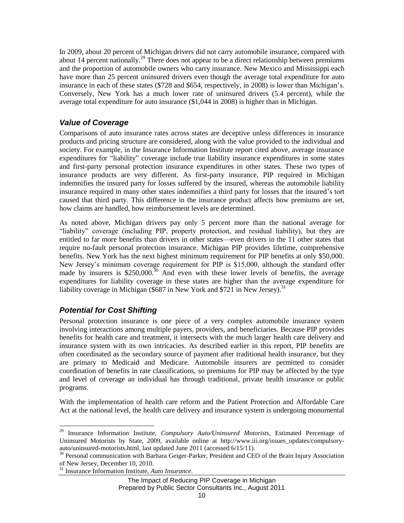In 2009, about 20 percent of Michigan drivers did not carry automobile insurance, compared with about 14 percent nationally.<sup>29</sup> There does not appear to be a direct relationship between premiums and the proportion of automobile owners who carry insurance. New Mexico and Mississippi each have more than 25 percent uninsured drivers even though the average total expenditure for auto insurance in each of these states (\$728 and \$654, respectively, in 2008) is lower than Michigan's. Conversely, New York has a much lower rate of uninsured drivers (5.4 percent), while the average total expenditure for auto insurance (\$1,044 in 2008) is higher than in Michigan.

#### *Value of Coverage*

Comparisons of auto insurance rates across states are deceptive unless differences in insurance products and pricing structure are considered, along with the value provided to the individual and society. For example, in the Insurance Information Institute report cited above, average insurance expenditures for "liability" coverage include true liability insurance expenditures in some states and first-party personal protection insurance expenditures in other states. These two types of insurance products are very different. As first-party insurance, PIP required in Michigan indemnifies the insured party for losses suffered by the insured, whereas the automobile liability insurance required in many other states indemnifies a third party for losses that the insured's tort caused that third party. This difference in the insurance product affects how premiums are set, how claims are handled, how reimbursement levels are determined.

As noted above, Michigan drivers pay only 5 percent more than the national average for "liability" coverage (including PIP, property protection, and residual liability), but they are entitled to far more benefits than drivers in other states—even drivers in the 11 other states that require no-fault personal protection insurance. Michigan PIP provides lifetime, comprehensive benefits. New York has the next highest minimum requirement for PIP benefits at only \$50,000. New Jersey's minimum coverage requirement for PIP is \$15,000, although the standard offer made by insurers is  $$250,000$ .<sup>30</sup> And even with these lower levels of benefits, the average expenditures for liability coverage in these states are higher than the average expenditure for liability coverage in Michigan (\$687 in New York and \$721 in New Jersey).<sup>31</sup>

#### *Potential for Cost Shifting*

 $\overline{a}$ 

Personal protection insurance is one piece of a very complex automobile insurance system involving interactions among multiple payers, providers, and beneficiaries. Because PIP provides benefits for health care and treatment, it intersects with the much larger health care delivery and insurance system with its own intricacies. As described earlier in this report, PIP benefits are often coordinated as the secondary source of payment after traditional health insurance, but they are primary to Medicaid and Medicare. Automobile insurers are permitted to consider coordination of benefits in rate classifications, so premiums for PIP may be affected by the type and level of coverage an individual has through traditional, private health insurance or public programs.

With the implementation of health care reform and the Patient Protection and Affordable Care Act at the national level, the health care delivery and insurance system is undergoing monumental

<sup>29</sup> Insurance Information Institute, *Compulsory Auto/Uninsured Motorists*, Estimated Percentage of Uninsured Motorists by State, 2009, available online at http://www.iii.org/issues\_updates/compulsoryauto/uninsured-motorists.html, last updated June 2011 (accessed 6/15/11).

<sup>&</sup>lt;sup>30</sup> Personal communication with Barbara Geiger-Parker, President and CEO of the Brain Injury Association of New Jersey, December 10, 2010.

<sup>31</sup> Insurance Information Institute, *Auto Insurance*.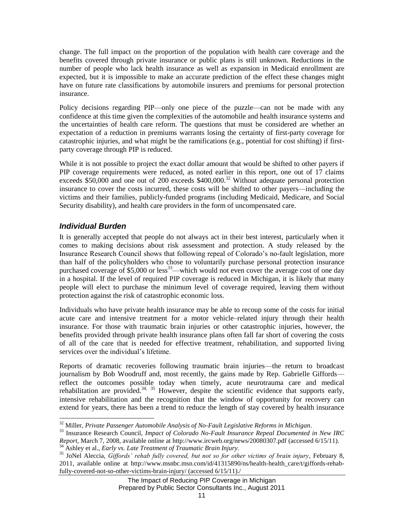change. The full impact on the proportion of the population with health care coverage and the benefits covered through private insurance or public plans is still unknown. Reductions in the number of people who lack health insurance as well as expansion in Medicaid enrollment are expected, but it is impossible to make an accurate prediction of the effect these changes might have on future rate classifications by automobile insurers and premiums for personal protection insurance.

Policy decisions regarding PIP—only one piece of the puzzle—can not be made with any confidence at this time given the complexities of the automobile and health insurance systems and the uncertainties of health care reform. The questions that must be considered are whether an expectation of a reduction in premiums warrants losing the certainty of first-party coverage for catastrophic injuries, and what might be the ramifications (e.g., potential for cost shifting) if firstparty coverage through PIP is reduced.

While it is not possible to project the exact dollar amount that would be shifted to other payers if PIP coverage requirements were reduced, as noted earlier in this report, one out of 17 claims exceeds \$50,000 and one out of 200 exceeds  $$400,000$ <sup>32</sup> Without adequate personal protection insurance to cover the costs incurred, these costs will be shifted to other payers—including the victims and their families, publicly-funded programs (including Medicaid, Medicare, and Social Security disability), and health care providers in the form of uncompensated care.

#### *Individual Burden*

It is generally accepted that people do not always act in their best interest, particularly when it comes to making decisions about risk assessment and protection. A study released by the Insurance Research Council shows that following repeal of Colorado's no-fault legislation, more than half of the policyholders who chose to voluntarily purchase personal protection insurance purchased coverage of  $$5,000$  or less<sup>33</sup>—which would not even cover the average cost of one day in a hospital. If the level of required PIP coverage is reduced in Michigan, it is likely that many people will elect to purchase the minimum level of coverage required, leaving them without protection against the risk of catastrophic economic loss.

Individuals who have private health insurance may be able to recoup some of the costs for initial acute care and intensive treatment for a motor vehicle–related injury through their health insurance. For those with traumatic brain injuries or other catastrophic injuries, however, the benefits provided through private health insurance plans often fall far short of covering the costs of all of the care that is needed for effective treatment, rehabilitation, and supported living services over the individual's lifetime.

Reports of dramatic recoveries following traumatic brain injuries—the return to broadcast journalism by Bob Woodruff and, most recently, the gains made by Rep. Gabrielle Giffords reflect the outcomes possible today when timely, acute neurotrauma care and medical rehabilitation are provided.<sup>34, 35</sup> However, despite the scientific evidence that supports early, intensive rehabilitation and the recognition that the window of opportunity for recovery can extend for years, there has been a trend to reduce the length of stay covered by health insurance

l <sup>32</sup> Miller, *Private Passenger Automobile Analysis of No-Fault Legislative Reforms in Michigan*.

<sup>33</sup> Insurance Research Council, *Impact of Colorado No-Fault Insurance Repeal Documented in New IRC Report*, March 7, 2008, available online at http://www.ircweb.org/news/20080307.pdf (accessed 6/15/11).

<sup>34</sup> Ashley et al., *Early vs. Late Treatment of Traumatic Brain Injury.*

<sup>35</sup> JoNel Aleccia, *Giffords' rehab fully covered, but not so for other victims of brain injury*, February 8, 2011, available online at http://www.msnbc.msn.com/id/41315890/ns/health-health\_care/t/giffords-rehabfully-covered-not-so-other-victims-brain-injury/ (accessed 6/15/11)./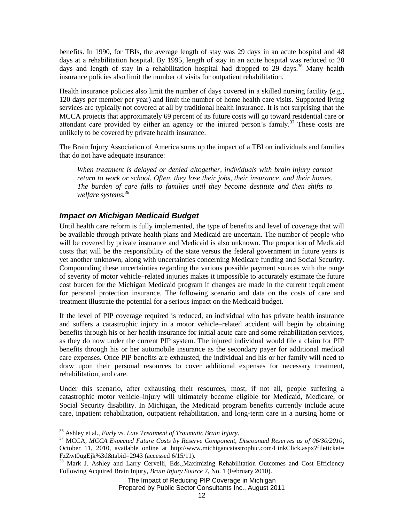benefits. In 1990, for TBIs, the average length of stay was 29 days in an acute hospital and 48 days at a rehabilitation hospital. By 1995, length of stay in an acute hospital was reduced to 20 days and length of stay in a rehabilitation hospital had dropped to 29 days.<sup>36</sup> Many health insurance policies also limit the number of visits for outpatient rehabilitation.

Health insurance policies also limit the number of days covered in a skilled nursing facility (e.g., 120 days per member per year) and limit the number of home health care visits. Supported living services are typically not covered at all by traditional health insurance. It is not surprising that the MCCA projects that approximately 69 percent of its future costs will go toward residential care or attendant care provided by either an agency or the injured person's family.<sup>37</sup> These costs are unlikely to be covered by private health insurance.

The Brain Injury Association of America sums up the impact of a TBI on individuals and families that do not have adequate insurance:

When treatment is delayed or denied altogether, individuals with brain injury cannot *return to work or school. Often, they lose their jobs, their insurance, and their homes. The burden of care falls to families until they become destitute and then shifts to welfare systems.<sup>38</sup>*

#### *Impact on Michigan Medicaid Budget*

Until health care reform is fully implemented, the type of benefits and level of coverage that will be available through private health plans and Medicaid are uncertain. The number of people who will be covered by private insurance and Medicaid is also unknown. The proportion of Medicaid costs that will be the responsibility of the state versus the federal government in future years is yet another unknown, along with uncertainties concerning Medicare funding and Social Security. Compounding these uncertainties regarding the various possible payment sources with the range of severity of motor vehicle–related injuries makes it impossible to accurately estimate the future cost burden for the Michigan Medicaid program if changes are made in the current requirement for personal protection insurance. The following scenario and data on the costs of care and treatment illustrate the potential for a serious impact on the Medicaid budget.

If the level of PIP coverage required is reduced, an individual who has private health insurance and suffers a catastrophic injury in a motor vehicle–related accident will begin by obtaining benefits through his or her health insurance for initial acute care and some rehabilitation services, as they do now under the current PIP system. The injured individual would file a claim for PIP benefits through his or her automobile insurance as the secondary payer for additional medical care expenses. Once PIP benefits are exhausted, the individual and his or her family will need to draw upon their personal resources to cover additional expenses for necessary treatment, rehabilitation, and care.

Under this scenario, after exhausting their resources, most, if not all, people suffering a catastrophic motor vehicle–injury will ultimately become eligible for Medicaid, Medicare, or Social Security disability. In Michigan, the Medicaid program benefits currently include acute care, inpatient rehabilitation, outpatient rehabilitation, and long-term care in a nursing home or

 $\overline{a}$ 

<sup>36</sup> Ashley et al., *Early vs. Late Treatment of Traumatic Brain Injury.*

<sup>37</sup> MCCA, *MCCA Expected Future Costs by Reserve Component, Discounted Reserves as of 06/30/2010*, October 11, 2010, available online at http://www.michigancatastrophic.com/LinkClick.aspx?fileticket= FzZwt0ugEjk%3d&tabid=2943 (accessed 6/15/11).

<sup>&</sup>lt;sup>38</sup> Mark J. Ashley and Larry Cervelli, Eds., Maximizing Rehabilitation Outcomes and Cost Efficiency Following Acquired Brain Injury, *Brain Injury Source* 7, No. 1 (February 2010).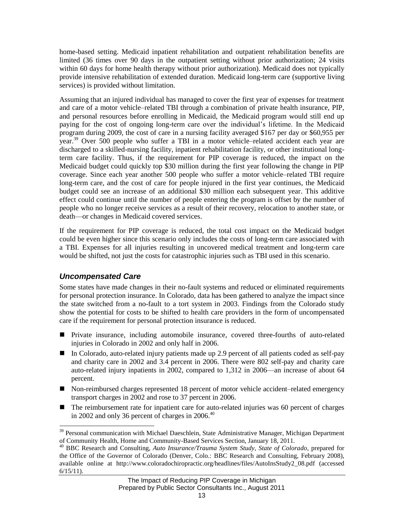home-based setting. Medicaid inpatient rehabilitation and outpatient rehabilitation benefits are limited (36 times over 90 days in the outpatient setting without prior authorization; 24 visits within 60 days for home health therapy without prior authorization). Medicaid does not typically provide intensive rehabilitation of extended duration. Medicaid long-term care (supportive living services) is provided without limitation.

Assuming that an injured individual has managed to cover the first year of expenses for treatment and care of a motor vehicle–related TBI through a combination of private health insurance, PIP, and personal resources before enrolling in Medicaid, the Medicaid program would still end up paying for the cost of ongoing long-term care over the individual's lifetime. In the Medicaid program during 2009, the cost of care in a nursing facility averaged \$167 per day or \$60,955 per year.<sup>39</sup> Over 500 people who suffer a TBI in a motor vehicle–related accident each year are discharged to a skilled-nursing facility, inpatient rehabilitation facility, or other institutional longterm care facility. Thus, if the requirement for PIP coverage is reduced, the impact on the Medicaid budget could quickly top \$30 million during the first year following the change in PIP coverage. Since each year another 500 people who suffer a motor vehicle–related TBI require long-term care, and the cost of care for people injured in the first year continues, the Medicaid budget could see an increase of an additional \$30 million each subsequent year. This additive effect could continue until the number of people entering the program is offset by the number of people who no longer receive services as a result of their recovery, relocation to another state, or death—or changes in Medicaid covered services.

If the requirement for PIP coverage is reduced, the total cost impact on the Medicaid budget could be even higher since this scenario only includes the costs of long-term care associated with a TBI. Expenses for all injuries resulting in uncovered medical treatment and long-term care would be shifted, not just the costs for catastrophic injuries such as TBI used in this scenario.

#### *Uncompensated Care*

 $\overline{a}$ 

Some states have made changes in their no-fault systems and reduced or eliminated requirements for personal protection insurance. In Colorado, data has been gathered to analyze the impact since the state switched from a no-fault to a tort system in 2003. Findings from the Colorado study show the potential for costs to be shifted to health care providers in the form of uncompensated care if the requirement for personal protection insurance is reduced.

- Private insurance, including automobile insurance, covered three-fourths of auto-related injuries in Colorado in 2002 and only half in 2006.
- In Colorado, auto-related injury patients made up 2.9 percent of all patients coded as self-pay and charity care in 2002 and 3.4 percent in 2006. There were 802 self-pay and charity care auto-related injury inpatients in 2002, compared to 1,312 in 2006—an increase of about 64 percent.
- Non-reimbursed charges represented 18 percent of motor vehicle accident–related emergency transport charges in 2002 and rose to 37 percent in 2006.
- $\blacksquare$  The reimbursement rate for inpatient care for auto-related injuries was 60 percent of charges in 2002 and only 36 percent of charges in 2006. $40$

<sup>&</sup>lt;sup>39</sup> Personal communication with Michael Daeschlein, State Administrative Manager, Michigan Department of Community Health, Home and Community-Based Services Section, January 18, 2011.

<sup>40</sup> BBC Research and Consulting, *Auto Insurance/Trauma System Study, State of Colorado*, prepared for the Office of the Governor of Colorado (Denver, Colo.: BBC Research and Consulting, February 2008), available online at http://www.coloradochiropractic.org/headlines/files/AutoInsStudy2\_08.pdf (accessed  $6/15/11$ ).